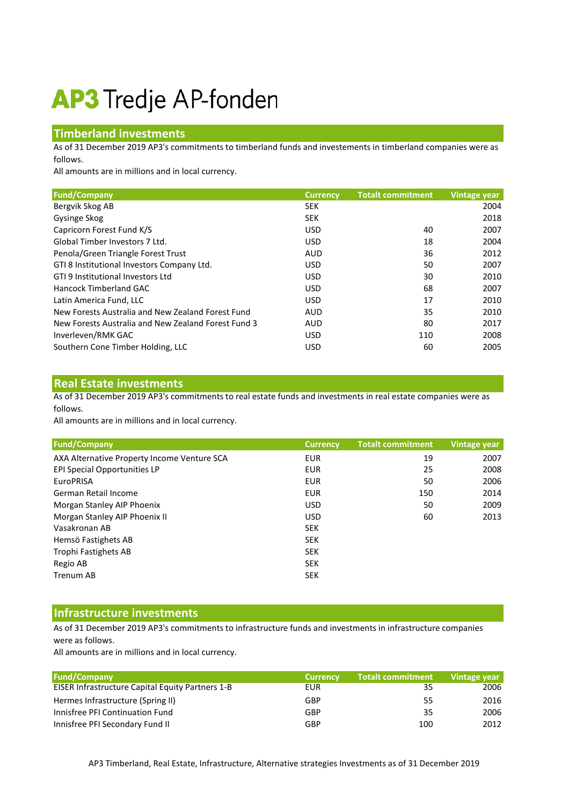# **AP3** Tredje AP-fonden

### **Timberland investments**

As of 31 December 2019 AP3's commitments to timberland funds and investements in timberland companies were as follows.

All amounts are in millions and in local currency.

| <b>Fund/Company</b>                                 | <b>Currency</b> | <b>Totalt commitment</b> | <b>Vintage year</b> |
|-----------------------------------------------------|-----------------|--------------------------|---------------------|
| Bergvik Skog AB                                     | <b>SEK</b>      |                          | 2004                |
| Gysinge Skog                                        | <b>SEK</b>      |                          | 2018                |
| Capricorn Forest Fund K/S                           | <b>USD</b>      | 40                       | 2007                |
| Global Timber Investors 7 Ltd.                      | <b>USD</b>      | 18                       | 2004                |
| Penola/Green Triangle Forest Trust                  | <b>AUD</b>      | 36                       | 2012                |
| GTI 8 Institutional Investors Company Ltd.          | <b>USD</b>      | 50                       | 2007                |
| GTI 9 Institutional Investors Ltd                   | <b>USD</b>      | 30                       | 2010                |
| Hancock Timberland GAC                              | <b>USD</b>      | 68                       | 2007                |
| Latin America Fund, LLC                             | USD.            | 17                       | 2010                |
| New Forests Australia and New Zealand Forest Fund   | <b>AUD</b>      | 35                       | 2010                |
| New Forests Australia and New Zealand Forest Fund 3 | <b>AUD</b>      | 80                       | 2017                |
| Inverleven/RMK GAC                                  | USD.            | 110                      | 2008                |
| Southern Cone Timber Holding, LLC                   | <b>USD</b>      | 60                       | 2005                |

#### **Real Estate investments**

As of 31 December 2019 AP3's commitments to real estate funds and investments in real estate companies were as follows.

All amounts are in millions and in local currency.

| <b>Fund/Company</b>                         | <b>Currency</b> | <b>Totalt commitment</b> | Vintage year |
|---------------------------------------------|-----------------|--------------------------|--------------|
| AXA Alternative Property Income Venture SCA | <b>EUR</b>      | 19                       | 2007         |
| EPI Special Opportunities LP                | <b>EUR</b>      | 25                       | 2008         |
| <b>EuroPRISA</b>                            | <b>EUR</b>      | 50                       | 2006         |
| German Retail Income                        | <b>EUR</b>      | 150                      | 2014         |
| Morgan Stanley AIP Phoenix                  | <b>USD</b>      | 50                       | 2009         |
| Morgan Stanley AIP Phoenix II               | USD.            | 60                       | 2013         |
| Vasakronan AB                               | <b>SEK</b>      |                          |              |
| Hemsö Fastighets AB                         | <b>SEK</b>      |                          |              |
| Trophi Fastighets AB                        | <b>SEK</b>      |                          |              |
| Regio AB                                    | <b>SEK</b>      |                          |              |
| <b>Trenum AB</b>                            | <b>SEK</b>      |                          |              |

#### **Infrastructure investments**

As of 31 December 2019 AP3's commitments to infrastructure funds and investments in infrastructure companies were as follows.

All amounts are in millions and in local currency.

| <b>Fund/Company</b>                              | <b>Currency</b> | <b>Totalt commitment</b> | Vintage year |
|--------------------------------------------------|-----------------|--------------------------|--------------|
| EISER Infrastructure Capital Equity Partners 1-B | EUR             | 35                       | 2006         |
| Hermes Infrastructure (Spring II)                | <b>GBP</b>      | 55                       | 2016         |
| Innisfree PFI Continuation Fund                  | GBP             | 35                       | 2006         |
| Innisfree PFI Secondary Fund II                  | <b>GBP</b>      | 100                      | 2012         |